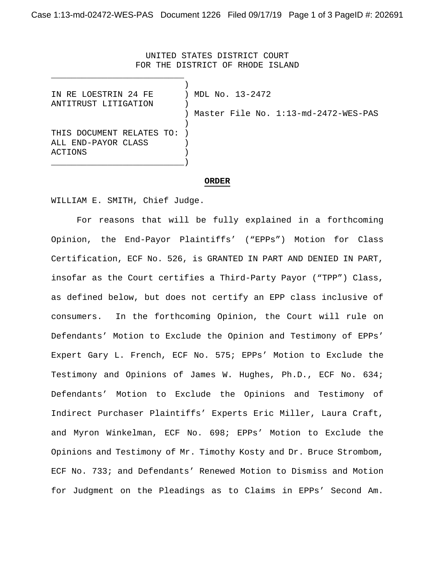UNITED STATES DISTRICT COURT FOR THE DISTRICT OF RHODE ISLAND

| IN RE LOESTRIN 24 FE      | MDL No. 13-2472                      |
|---------------------------|--------------------------------------|
| ANTITRUST LITIGATION      |                                      |
|                           | Master File No. 1:13-md-2472-WES-PAS |
|                           |                                      |
| THIS DOCUMENT RELATES TO: |                                      |
| ALL END-PAYOR CLASS       |                                      |
| ACTIONS                   |                                      |
|                           |                                      |

## **ORDER**

WILLIAM E. SMITH, Chief Judge.

For reasons that will be fully explained in a forthcoming Opinion, the End-Payor Plaintiffs' ("EPPs") Motion for Class Certification, ECF No. 526, is GRANTED IN PART AND DENIED IN PART, insofar as the Court certifies a Third-Party Payor ("TPP") Class, as defined below, but does not certify an EPP class inclusive of consumers. In the forthcoming Opinion, the Court will rule on Defendants' Motion to Exclude the Opinion and Testimony of EPPs' Expert Gary L. French, ECF No. 575; EPPs' Motion to Exclude the Testimony and Opinions of James W. Hughes, Ph.D., ECF No. 634; Defendants' Motion to Exclude the Opinions and Testimony of Indirect Purchaser Plaintiffs' Experts Eric Miller, Laura Craft, and Myron Winkelman, ECF No. 698; EPPs' Motion to Exclude the Opinions and Testimony of Mr. Timothy Kosty and Dr. Bruce Strombom, ECF No. 733; and Defendants' Renewed Motion to Dismiss and Motion for Judgment on the Pleadings as to Claims in EPPs' Second Am.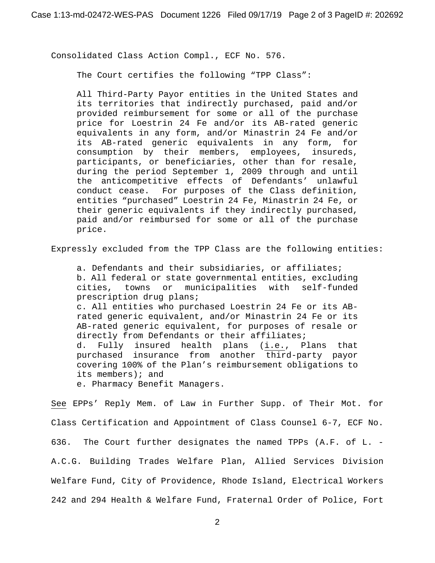Consolidated Class Action Compl., ECF No. 576.

The Court certifies the following "TPP Class":

All Third-Party Payor entities in the United States and its territories that indirectly purchased, paid and/or provided reimbursement for some or all of the purchase price for Loestrin 24 Fe and/or its AB-rated generic equivalents in any form, and/or Minastrin 24 Fe and/or its AB-rated generic equivalents in any form, for consumption by their members, employees, insureds, participants, or beneficiaries, other than for resale, during the period September 1, 2009 through and until the anticompetitive effects of Defendants' unlawful conduct cease. For purposes of the Class definition, entities "purchased" Loestrin 24 Fe, Minastrin 24 Fe, or their generic equivalents if they indirectly purchased, paid and/or reimbursed for some or all of the purchase price.

Expressly excluded from the TPP Class are the following entities:

a. Defendants and their subsidiaries, or affiliates; b. All federal or state governmental entities, excluding cities, towns or municipalities with self-funded prescription drug plans; c. All entities who purchased Loestrin 24 Fe or its ABrated generic equivalent, and/or Minastrin 24 Fe or its AB-rated generic equivalent, for purposes of resale or directly from Defendants or their affiliates;<br>d. Fully insured health plans (i.e., Plans that d. Fully insured health plans (i.e., purchased insurance from another third-party payor covering 100% of the Plan's reimbursement obligations to its members); and

e. Pharmacy Benefit Managers.

See EPPs' Reply Mem. of Law in Further Supp. of Their Mot. for Class Certification and Appointment of Class Counsel 6-7, ECF No. 636. The Court further designates the named TPPs (A.F. of L. - A.C.G. Building Trades Welfare Plan, Allied Services Division Welfare Fund, City of Providence, Rhode Island, Electrical Workers 242 and 294 Health & Welfare Fund, Fraternal Order of Police, Fort